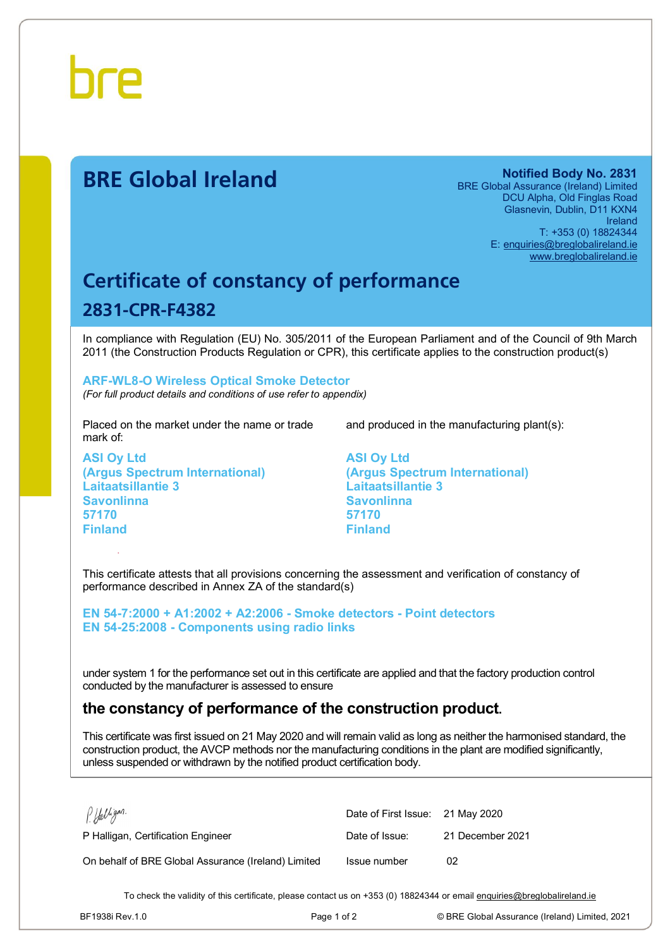

# **BRE Global Ireland Notified Body No. 2831**

BRE Global Assurance (Ireland) Limited DCU Alpha, Old Finglas Road Glasnevin, Dublin, D11 KXN4 Ireland T: +353 (0) 18824344 E: [enquiries@breglobalireland.ie](mailto:enquiries@breglobalireland.ie) [www.breglobalireland.ie](http://www.breglobalireland.ie)

# **Certificate of constancy of performance 2831-CPR-F4382**

In compliance with Regulation (EU) No. 305/2011 of the European Parliament and of the Council of 9th March 2011 (the Construction Products Regulation or CPR), this certificate applies to the construction product(s)

### **ARF-WL8-O Wireless Optical Smoke Detector**  *(For full product details and conditions of use refer to appendix)*

Placed on the market under the name or trade mark of:

**ASI Oy Ltd (Argus Spectrum International) Laitaatsillantie 3 Savonlinna 57170 Finland** 

and produced in the manufacturing plant(s):

**ASI Oy Ltd (Argus Spectrum International) Laitaatsillantie 3 Savonlinna 57170 Finland** 

This certificate attests that all provisions concerning the assessment and verification of constancy of performance described in Annex ZA of the standard(s)

**EN 54-7:2000 + A1:2002 + A2:2006 - Smoke detectors - Point detectors EN 54-25:2008 - Components using radio links** 

under system 1 for the performance set out in this certificate are applied and that the factory production control conducted by the manufacturer is assessed to ensure

# **the constancy of performance of the construction product.**

This certificate was first issued on 21 May 2020 and will remain valid as long as neither the harmonised standard, the construction product, the AVCP methods nor the manufacturing conditions in the plant are modified significantly, unless suspended or withdrawn by the notified product certification body.

| P. Halligan.                                        | Date of First Issue: 21 May 2020 |                  |
|-----------------------------------------------------|----------------------------------|------------------|
| P Halligan, Certification Engineer                  | Date of Issue:                   | 21 December 2021 |
| On behalf of BRE Global Assurance (Ireland) Limited | Issue number                     | 02               |

To check the validity of this certificate, please contact us on +353 (0) 18824344 or email [enquiries@breglobalireland.ie](mailto:enquiries@breglobalireland.ie)